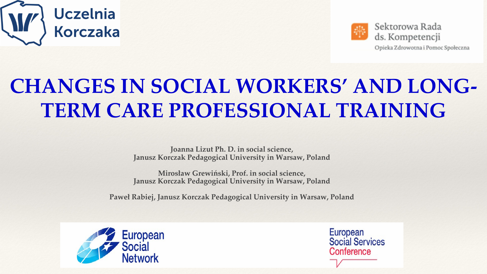

# **CHANGES IN SOCIAL WORKERS' AND LONG-TERM CARE PROFESSIONAL TRAINING**

**Joanna Lizut Ph. D. in social science, Janusz Korczak Pedagogical University in Warsaw, Poland**

**Mirosław Grewiński, Prof. in social science, Janusz Korczak Pedagogical University in Warsaw, Poland**

**Paweł Rabiej, Janusz Korczak Pedagogical University in Warsaw, Poland**





Opieka Zdrowotna i Pomoc Społeczna

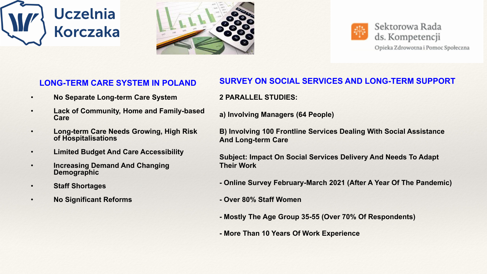



| <b>LONG-TERM CARE SYSTEM IN POLAND</b>                                | SL              |
|-----------------------------------------------------------------------|-----------------|
| <b>No Separate Long-term Care System</b>                              | 2F              |
| <b>Lack of Community, Home and Family-based</b><br>Care               | $\mathbf{a}$    |
| <b>Long-term Care Needs Growing, High Risk</b><br>of Hospitalisations | <b>B)</b><br>An |
| <b>Limited Budget And Care Accessibility</b>                          | Su              |
| <b>Increasing Demand And Changing</b><br><b>Demographic</b>           | Th              |
| <b>Staff Shortages</b>                                                | - 0             |
| <b>No Significant Reforms</b>                                         |                 |
|                                                                       |                 |

**2 PARALLEL STUDIES:** 

**a) Involving Managers (64 People)** 

**B) Involving 100 Frontline Services Dealing With Social Assistance And Long-term Care**

**Ibject: Impact On Social Services Delivery And Needs To Adapt Reir Work** 

**- Online Survey February-March 2021 (After A Year Of The Pandemic)**

**- Over 80% Staff Women**

**- Mostly The Age Group 35-55 (Over 70% Of Respondents)** 



**- More Than 10 Years Of Work Experience**



### **SURVEY ON SOCIAL SERVICES AND LONG-TERM SUPPORT**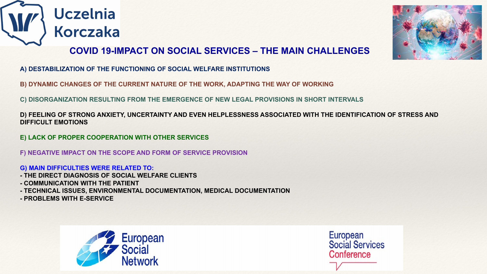

### **COVID 19-IMPACT ON SOCIAL SERVICES – THE MAIN CHALLENGES**

- **A) DESTABILIZATION OF THE FUNCTIONING OF SOCIAL WELFARE INSTITUTIONS**
- **B) DYNAMIC CHANGES OF THE CURRENT NATURE OF THE WORK, ADAPTING THE WAY OF WORKING**
- **C) DISORGANIZATION RESULTING FROM THE EMERGENCE OF NEW LEGAL PROVISIONS IN SHORT INTERVALS**

**D) FEELING OF STRONG ANXIETY, UNCERTAINTY AND EVEN HELPLESSNESS ASSOCIATED WITH THE IDENTIFICATION OF STRESS AND** 

European **Social Services** Conference

**DIFFICULT EMOTIONS**

**E) LACK OF PROPER COOPERATION WITH OTHER SERVICES** 

- **F) NEGATIVE IMPACT ON THE SCOPE AND FORM OF SERVICE PROVISION**
- **G) MAIN DIFFICULTIES WERE RELATED TO:**
- **- THE DIRECT DIAGNOSIS OF SOCIAL WELFARE CLIENTS**
- **- COMMUNICATION WITH THE PATIENT**
- **- TECHNICAL ISSUES, ENVIRONMENTAL DOCUMENTATION, MEDICAL DOCUMENTATION**
- **- PROBLEMS WITH E-SERVICE**



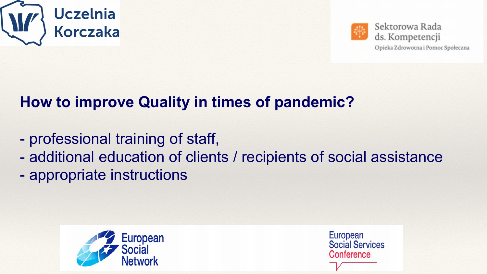

## **How to improve Quality in times of pandemic?**

- professional training of staff,
- 
- appropriate instructions





Sektorowa Rada ds. Kompetencji

Opieka Zdrowotna i Pomoc Społeczna

## - additional education of clients / recipients of social assistance

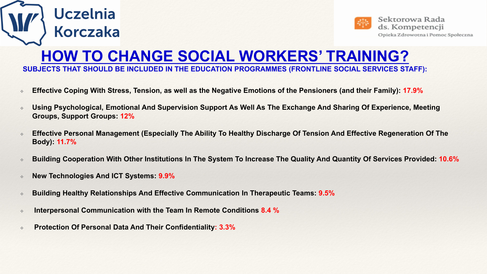- ❖ **Effective Coping With Stress, Tension, as well as the Negative Emotions of the Pensioners (and their Family): 17.9%**
- Using Psychological, Emotional And Supervision Support As Well As The Exchange And Sharing Of Experience, Meeting **Groups, Support Groups: 12%**
- ❖ **Effective Personal Management (Especially The Ability To Healthy Discharge Of Tension And Effective Regeneration Of The Body): 11.7%**
- ❖ **Building Cooperation With Other Institutions In The System To Increase The Quality And Quantity Of Services Provided: 10.6%**
- ❖ **New Technologies And ICT Systems: 9.9%**

Uczelnia

Korczaka

- ❖ **Building Healthy Relationships And Effective Communication In Therapeutic Teams: 9.5%**
- ❖ **Interpersonal Communication with the Team In Remote Conditions 8.4 %**
- ❖ **Protection Of Personal Data And Their Confidentiality: 3.3%**





## **HOW TO CHANGE SOCIAL WORKERS' TRAINING? SUBJECTS THAT SHOULD BE INCLUDED IN THE EDUCATION PROGRAMMES (FRONTLINE SOCIAL SERVICES STAFF):**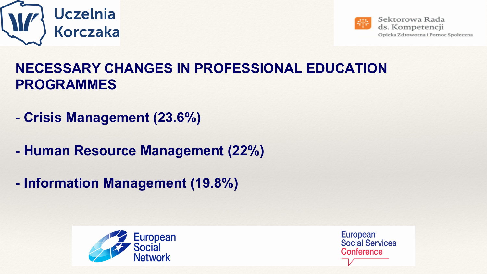

## **NECESSARY CHANGES IN PROFESSIONAL EDUCATION PROGRAMMES**

- **- Crisis Management (23.6%)**
- **- Human Resource Management (22%)**
- **- Information Management (19.8%)**



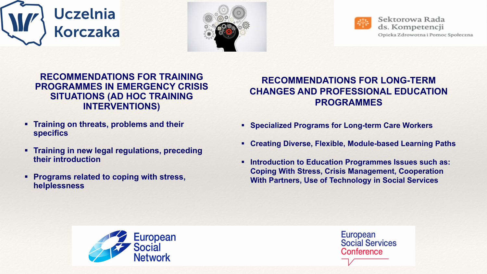



### **RECOMMENDATIONS FOR TRAINING PROGRAMMES IN EMERGENCY CRISIS SITUATIONS (AD HOC TRAINING INTERVENTIONS)**

- **Figure 1.5 Training on threats, problems and their specifics**
- **Figure 1 5 Training in new legal regulations, preceding 1 Training in new legal regulations, preceding their introduction**
- **Programs related to coping with stress, helplessness**





### **RECOMMENDATIONS FOR LONG-TERM CHANGES AND PROFESSIONAL EDUCATION PROGRAMMES**

- **Specialized Programs for Long-term Care Workers**
- **Creating Diverse, Flexible, Module-based Learning Paths**
- **Introduction to Education Programmes Issues such as: Coping With Stress, Crisis Management, Cooperation With Partners, Use of Technology in Social Services**